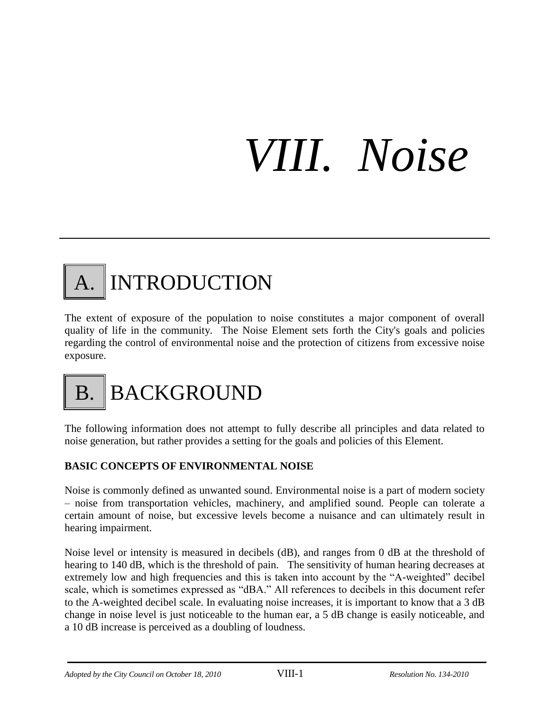# *VIII. Noise*

### INTRODUCTION

The extent of exposure of the population to noise constitutes a major component of overall quality of life in the community. The Noise Element sets forth the City's goals and policies regarding the control of environmental noise and the protection of citizens from excessive noise exposure.

## **BACKGROUND**

The following information does not attempt to fully describe all principles and data related to noise generation, but rather provides a setting for the goals and policies of this Element.

#### **BASIC CONCEPTS OF ENVIRONMENTAL NOISE**

Noise is commonly defined as unwanted sound. Environmental noise is a part of modern society – noise from transportation vehicles, machinery, and amplified sound. People can tolerate a certain amount of noise, but excessive levels become a nuisance and can ultimately result in hearing impairment.

Noise level or intensity is measured in decibels (dB), and ranges from 0 dB at the threshold of hearing to 140 dB, which is the threshold of pain. The sensitivity of human hearing decreases at extremely low and high frequencies and this is taken into account by the "A-weighted" decibel scale, which is sometimes expressed as "dBA." All references to decibels in this document refer to the A-weighted decibel scale. In evaluating noise increases, it is important to know that a 3 dB change in noise level is just noticeable to the human ear, a 5 dB change is easily noticeable, and a 10 dB increase is perceived as a doubling of loudness.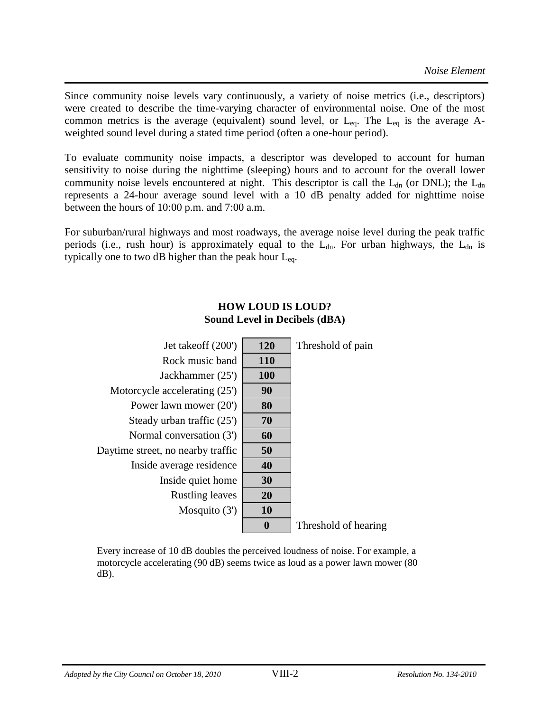Since community noise levels vary continuously, a variety of noise metrics (i.e., descriptors) were created to describe the time-varying character of environmental noise. One of the most common metrics is the average (equivalent) sound level, or  $L_{eq}$ . The  $L_{eq}$  is the average Aweighted sound level during a stated time period (often a one-hour period).

To evaluate community noise impacts, a descriptor was developed to account for human sensitivity to noise during the nighttime (sleeping) hours and to account for the overall lower community noise levels encountered at night. This descriptor is call the  $L_{dn}$  (or DNL); the  $L_{dn}$ represents a 24-hour average sound level with a 10 dB penalty added for nighttime noise between the hours of 10:00 p.m. and 7:00 a.m.

For suburban/rural highways and most roadways, the average noise level during the peak traffic periods (i.e., rush hour) is approximately equal to the  $L_{dn}$ . For urban highways, the  $L_{dn}$  is typically one to two dB higher than the peak hour  $L_{eq}$ .

#### **HOW LOUD IS LOUD? Sound Level in Decibels (dBA)**

| Jet takeoff (200')                | 120        | Threshold of pain    |
|-----------------------------------|------------|----------------------|
| Rock music band                   | <b>110</b> |                      |
| Jackhammer (25')                  | <b>100</b> |                      |
| Motorcycle accelerating (25')     | 90         |                      |
| Power lawn mower (20')            | 80         |                      |
| Steady urban traffic (25')        | 70         |                      |
| Normal conversation (3')          | 60         |                      |
| Daytime street, no nearby traffic | 50         |                      |
| Inside average residence          | 40         |                      |
| Inside quiet home                 | 30         |                      |
| <b>Rustling leaves</b>            | 20         |                      |
| Mosquito $(3')$                   | <b>10</b>  |                      |
|                                   | $\bf{0}$   | Threshold of hearing |
|                                   |            |                      |

Every increase of 10 dB doubles the perceived loudness of noise. For example, a motorcycle accelerating (90 dB) seems twice as loud as a power lawn mower (80 dB).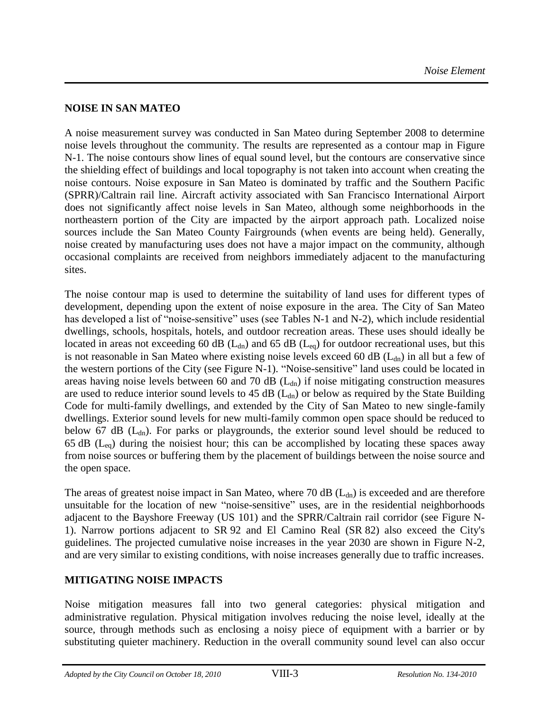#### **NOISE IN SAN MATEO**

A noise measurement survey was conducted in San Mateo during September 2008 to determine noise levels throughout the community. The results are represented as a contour map in Figure N-1. The noise contours show lines of equal sound level, but the contours are conservative since the shielding effect of buildings and local topography is not taken into account when creating the noise contours. Noise exposure in San Mateo is dominated by traffic and the Southern Pacific (SPRR)/Caltrain rail line. Aircraft activity associated with San Francisco International Airport does not significantly affect noise levels in San Mateo, although some neighborhoods in the northeastern portion of the City are impacted by the airport approach path. Localized noise sources include the San Mateo County Fairgrounds (when events are being held). Generally, noise created by manufacturing uses does not have a major impact on the community, although occasional complaints are received from neighbors immediately adjacent to the manufacturing sites.

The noise contour map is used to determine the suitability of land uses for different types of development, depending upon the extent of noise exposure in the area. The City of San Mateo has developed a list of "noise-sensitive" uses (see Tables N-1 and N-2), which include residential dwellings, schools, hospitals, hotels, and outdoor recreation areas. These uses should ideally be located in areas not exceeding 60 dB ( $L<sub>dn</sub>$ ) and 65 dB ( $L<sub>eq</sub>$ ) for outdoor recreational uses, but this is not reasonable in San Mateo where existing noise levels exceed 60 dB ( $L_{dn}$ ) in all but a few of the western portions of the City (see Figure N-1). "Noise-sensitive" land uses could be located in areas having noise levels between 60 and 70 dB  $(L<sub>dn</sub>)$  if noise mitigating construction measures are used to reduce interior sound levels to 45 dB  $(L<sub>dn</sub>)$  or below as required by the State Building Code for multi-family dwellings, and extended by the City of San Mateo to new single-family dwellings. Exterior sound levels for new multi-family common open space should be reduced to below 67 dB ( $L<sub>dn</sub>$ ). For parks or playgrounds, the exterior sound level should be reduced to 65 dB ( $L_{eq}$ ) during the noisiest hour; this can be accomplished by locating these spaces away from noise sources or buffering them by the placement of buildings between the noise source and the open space.

The areas of greatest noise impact in San Mateo, where 70 dB  $(L_{dn})$  is exceeded and are therefore unsuitable for the location of new "noise-sensitive" uses, are in the residential neighborhoods adjacent to the Bayshore Freeway (US 101) and the SPRR/Caltrain rail corridor (see Figure N-1). Narrow portions adjacent to SR 92 and El Camino Real (SR 82) also exceed the City's guidelines. The projected cumulative noise increases in the year 2030 are shown in Figure N-2, and are very similar to existing conditions, with noise increases generally due to traffic increases.

#### **MITIGATING NOISE IMPACTS**

Noise mitigation measures fall into two general categories: physical mitigation and administrative regulation. Physical mitigation involves reducing the noise level, ideally at the source, through methods such as enclosing a noisy piece of equipment with a barrier or by substituting quieter machinery. Reduction in the overall community sound level can also occur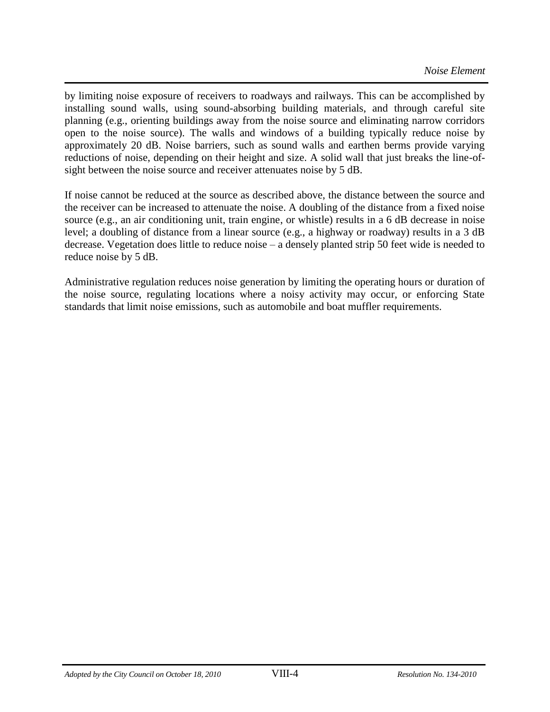by limiting noise exposure of receivers to roadways and railways. This can be accomplished by installing sound walls, using sound-absorbing building materials, and through careful site planning (e.g., orienting buildings away from the noise source and eliminating narrow corridors open to the noise source). The walls and windows of a building typically reduce noise by approximately 20 dB. Noise barriers, such as sound walls and earthen berms provide varying reductions of noise, depending on their height and size. A solid wall that just breaks the line-ofsight between the noise source and receiver attenuates noise by 5 dB.

If noise cannot be reduced at the source as described above, the distance between the source and the receiver can be increased to attenuate the noise. A doubling of the distance from a fixed noise source (e.g., an air conditioning unit, train engine, or whistle) results in a 6 dB decrease in noise level; a doubling of distance from a linear source (e.g., a highway or roadway) results in a 3 dB decrease. Vegetation does little to reduce noise – a densely planted strip 50 feet wide is needed to reduce noise by 5 dB.

Administrative regulation reduces noise generation by limiting the operating hours or duration of the noise source, regulating locations where a noisy activity may occur, or enforcing State standards that limit noise emissions, such as automobile and boat muffler requirements.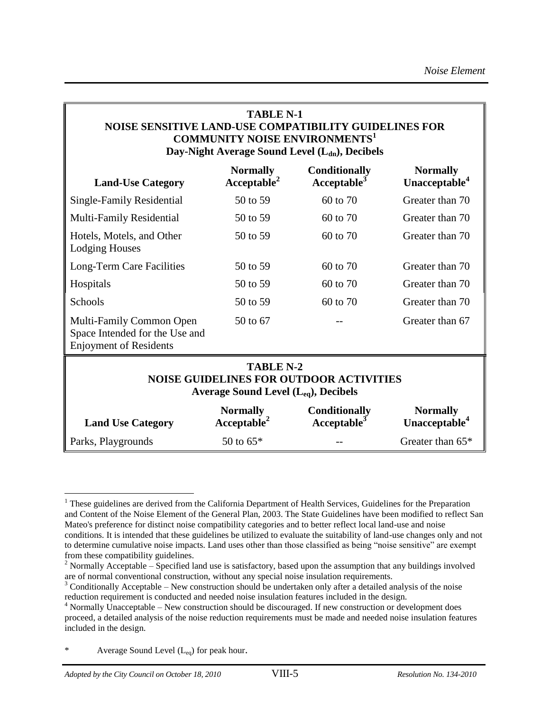#### **TABLE N-1 NOISE SENSITIVE LAND-USE COMPATIBILITY GUIDELINES FOR COMMUNITY NOISE ENVIRONMENTS<sup>1</sup> Day-Night Average Sound Level (Ldn), Decibels**

| <b>Land-Use Category</b>                                                                                        | <b>Normally</b><br>Acceptable <sup>2</sup> | <b>Conditionally</b><br>Acceptable <sup>5</sup> | <b>Normally</b><br>Unacceptable <sup>4</sup> |  |
|-----------------------------------------------------------------------------------------------------------------|--------------------------------------------|-------------------------------------------------|----------------------------------------------|--|
| Single-Family Residential                                                                                       | 50 to 59                                   | 60 to 70                                        | Greater than 70                              |  |
| <b>Multi-Family Residential</b>                                                                                 | 50 to 59                                   | 60 to 70                                        | Greater than 70                              |  |
| Hotels, Motels, and Other<br><b>Lodging Houses</b>                                                              | 50 to 59                                   | 60 to 70                                        | Greater than 70                              |  |
| Long-Term Care Facilities                                                                                       | 50 to 59                                   | 60 to 70                                        | Greater than 70                              |  |
| Hospitals                                                                                                       | 50 to 59                                   | 60 to 70                                        | Greater than 70                              |  |
| Schools                                                                                                         | 50 to 59                                   | 60 to 70                                        | Greater than 70                              |  |
| Multi-Family Common Open<br>Space Intended for the Use and<br><b>Enjoyment of Residents</b>                     | 50 to 67                                   |                                                 | Greater than 67                              |  |
| <b>TABLE N-2</b><br><b>NOISE GUIDELINES FOR OUTDOOR ACTIVITIES</b><br>Average Sound Level $(L_{eq})$ , Decibels |                                            |                                                 |                                              |  |
| <b>Land Use Category</b>                                                                                        | <b>Normally</b><br>Acceptable <sup>2</sup> | <b>Conditionally</b><br>Acceptable <sup>3</sup> | <b>Normally</b><br>Unacceptable <sup>4</sup> |  |

Parks, Playgrounds 50 to  $65*$  -- Greater than  $65*$ 

a<br>B

<sup>&</sup>lt;sup>1</sup> These guidelines are derived from the California Department of Health Services, Guidelines for the Preparation and Content of the Noise Element of the General Plan, 2003. The State Guidelines have been modified to reflect San Mateo's preference for distinct noise compatibility categories and to better reflect local land-use and noise conditions. It is intended that these guidelines be utilized to evaluate the suitability of land-use changes only and not to determine cumulative noise impacts. Land uses other than those classified as being "noise sensitive" are exempt from these compatibility guidelines.

<sup>&</sup>lt;sup>2</sup> Normally Acceptable – Specified land use is satisfactory, based upon the assumption that any buildings involved are of normal conventional construction, without any special noise insulation requirements.

<sup>&</sup>lt;sup>3</sup> Conditionally Acceptable – New construction should be undertaken only after a detailed analysis of the noise reduction requirement is conducted and needed noise insulation features included in the design.

<sup>4</sup> Normally Unacceptable – New construction should be discouraged. If new construction or development does proceed, a detailed analysis of the noise reduction requirements must be made and needed noise insulation features included in the design.

Average Sound Level  $(L_{eq})$  for peak hour.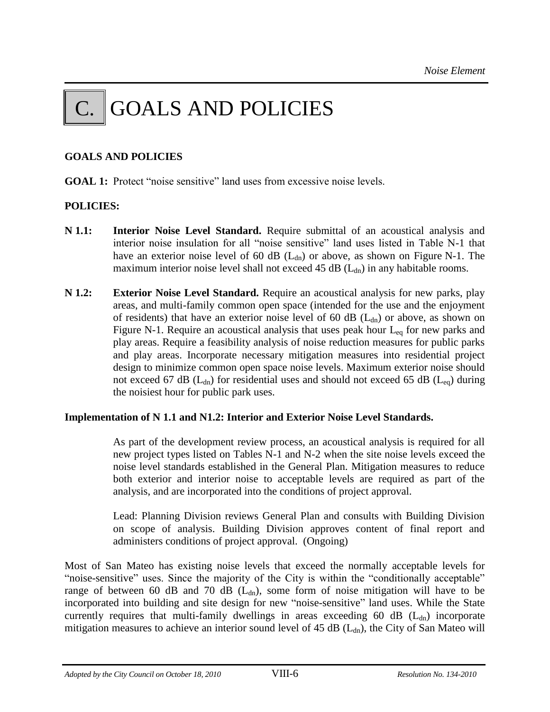## GOALS AND POLICIES

#### **GOALS AND POLICIES**

**GOAL 1:** Protect "noise sensitive" land uses from excessive noise levels.

#### **POLICIES:**

- **N 1.1: Interior Noise Level Standard.** Require submittal of an acoustical analysis and interior noise insulation for all "noise sensitive" land uses listed in Table N-1 that have an exterior noise level of 60 dB  $(L<sub>dn</sub>)$  or above, as shown on Figure N-1. The maximum interior noise level shall not exceed 45 dB  $(L<sub>dn</sub>)$  in any habitable rooms.
- **N 1.2: Exterior Noise Level Standard.** Require an acoustical analysis for new parks, play areas, and multi-family common open space (intended for the use and the enjoyment of residents) that have an exterior noise level of 60 dB  $(L<sub>dn</sub>)$  or above, as shown on Figure N-1. Require an acoustical analysis that uses peak hour  $L_{eq}$  for new parks and play areas. Require a feasibility analysis of noise reduction measures for public parks and play areas. Incorporate necessary mitigation measures into residential project design to minimize common open space noise levels. Maximum exterior noise should not exceed 67 dB ( $L_{dn}$ ) for residential uses and should not exceed 65 dB ( $L_{eq}$ ) during the noisiest hour for public park uses.

#### **Implementation of N 1.1 and N1.2: Interior and Exterior Noise Level Standards.**

As part of the development review process, an acoustical analysis is required for all new project types listed on Tables N-1 and N-2 when the site noise levels exceed the noise level standards established in the General Plan. Mitigation measures to reduce both exterior and interior noise to acceptable levels are required as part of the analysis, and are incorporated into the conditions of project approval.

Lead: Planning Division reviews General Plan and consults with Building Division on scope of analysis. Building Division approves content of final report and administers conditions of project approval. (Ongoing)

Most of San Mateo has existing noise levels that exceed the normally acceptable levels for "noise-sensitive" uses. Since the majority of the City is within the "conditionally acceptable" range of between 60 dB and 70 dB ( $L<sub>dn</sub>$ ), some form of noise mitigation will have to be incorporated into building and site design for new "noise-sensitive" land uses. While the State currently requires that multi-family dwellings in areas exceeding 60 dB  $(L<sub>dn</sub>)$  incorporate mitigation measures to achieve an interior sound level of  $45$  dB ( $L_{dn}$ ), the City of San Mateo will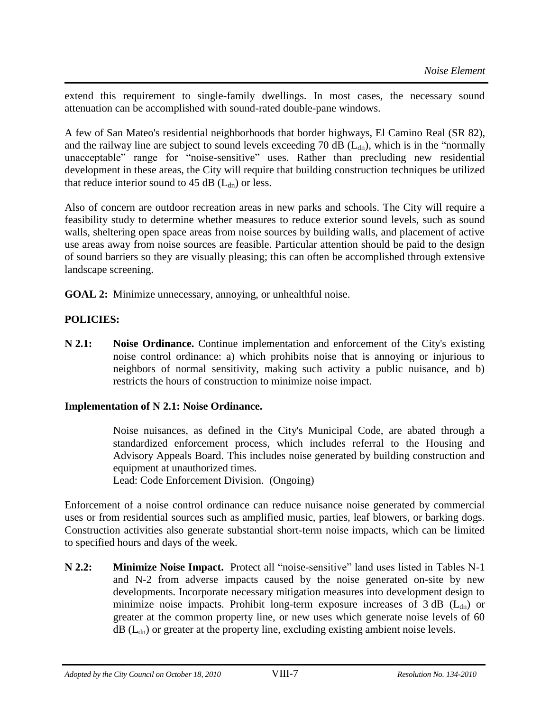extend this requirement to single-family dwellings. In most cases, the necessary sound attenuation can be accomplished with sound-rated double-pane windows.

A few of San Mateo's residential neighborhoods that border highways, El Camino Real (SR 82), and the railway line are subject to sound levels exceeding 70 dB  $(L<sub>dn</sub>)$ , which is in the "normally unacceptable" range for "noise-sensitive" uses. Rather than precluding new residential development in these areas, the City will require that building construction techniques be utilized that reduce interior sound to 45 dB  $(L<sub>dn</sub>)$  or less.

Also of concern are outdoor recreation areas in new parks and schools. The City will require a feasibility study to determine whether measures to reduce exterior sound levels, such as sound walls, sheltering open space areas from noise sources by building walls, and placement of active use areas away from noise sources are feasible. Particular attention should be paid to the design of sound barriers so they are visually pleasing; this can often be accomplished through extensive landscape screening.

**GOAL 2:** Minimize unnecessary, annoying, or unhealthful noise.

#### **POLICIES:**

**N 2.1: Noise Ordinance.** Continue implementation and enforcement of the City's existing noise control ordinance: a) which prohibits noise that is annoying or injurious to neighbors of normal sensitivity, making such activity a public nuisance, and b) restricts the hours of construction to minimize noise impact.

#### **Implementation of N 2.1: Noise Ordinance.**

Noise nuisances, as defined in the City's Municipal Code, are abated through a standardized enforcement process, which includes referral to the Housing and Advisory Appeals Board. This includes noise generated by building construction and equipment at unauthorized times.

Lead: Code Enforcement Division. (Ongoing)

Enforcement of a noise control ordinance can reduce nuisance noise generated by commercial uses or from residential sources such as amplified music, parties, leaf blowers, or barking dogs. Construction activities also generate substantial short-term noise impacts, which can be limited to specified hours and days of the week.

**N 2.2: Minimize Noise Impact.** Protect all "noise-sensitive" land uses listed in Tables N-1 and N-2 from adverse impacts caused by the noise generated on-site by new developments. Incorporate necessary mitigation measures into development design to minimize noise impacts. Prohibit long-term exposure increases of  $3 dB$  ( $L_{dn}$ ) or greater at the common property line, or new uses which generate noise levels of 60  $dB$  ( $L_{dn}$ ) or greater at the property line, excluding existing ambient noise levels.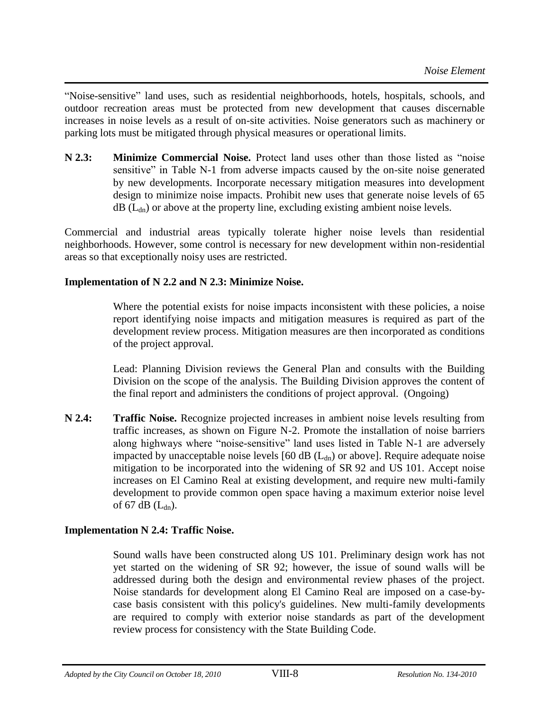"Noise-sensitive" land uses, such as residential neighborhoods, hotels, hospitals, schools, and outdoor recreation areas must be protected from new development that causes discernable increases in noise levels as a result of on-site activities. Noise generators such as machinery or parking lots must be mitigated through physical measures or operational limits.

**N 2.3: Minimize Commercial Noise.** Protect land uses other than those listed as "noise sensitive" in Table N-1 from adverse impacts caused by the on-site noise generated by new developments. Incorporate necessary mitigation measures into development design to minimize noise impacts. Prohibit new uses that generate noise levels of 65  $dB$  ( $L_{dn}$ ) or above at the property line, excluding existing ambient noise levels.

Commercial and industrial areas typically tolerate higher noise levels than residential neighborhoods. However, some control is necessary for new development within non-residential areas so that exceptionally noisy uses are restricted.

#### **Implementation of N 2.2 and N 2.3: Minimize Noise.**

Where the potential exists for noise impacts inconsistent with these policies, a noise report identifying noise impacts and mitigation measures is required as part of the development review process. Mitigation measures are then incorporated as conditions of the project approval.

Lead: Planning Division reviews the General Plan and consults with the Building Division on the scope of the analysis. The Building Division approves the content of the final report and administers the conditions of project approval. (Ongoing)

**N 2.4: Traffic Noise.** Recognize projected increases in ambient noise levels resulting from traffic increases, as shown on Figure N-2. Promote the installation of noise barriers along highways where "noise-sensitive" land uses listed in Table N-1 are adversely impacted by unacceptable noise levels  $[60 \text{ dB } (L_{dn})$  or above]. Require adequate noise mitigation to be incorporated into the widening of SR 92 and US 101. Accept noise increases on El Camino Real at existing development, and require new multi-family development to provide common open space having a maximum exterior noise level of 67 dB  $(L<sub>dn</sub>)$ .

#### **Implementation N 2.4: Traffic Noise.**

Sound walls have been constructed along US 101. Preliminary design work has not yet started on the widening of SR 92; however, the issue of sound walls will be addressed during both the design and environmental review phases of the project. Noise standards for development along El Camino Real are imposed on a case-bycase basis consistent with this policy's guidelines. New multi-family developments are required to comply with exterior noise standards as part of the development review process for consistency with the State Building Code.